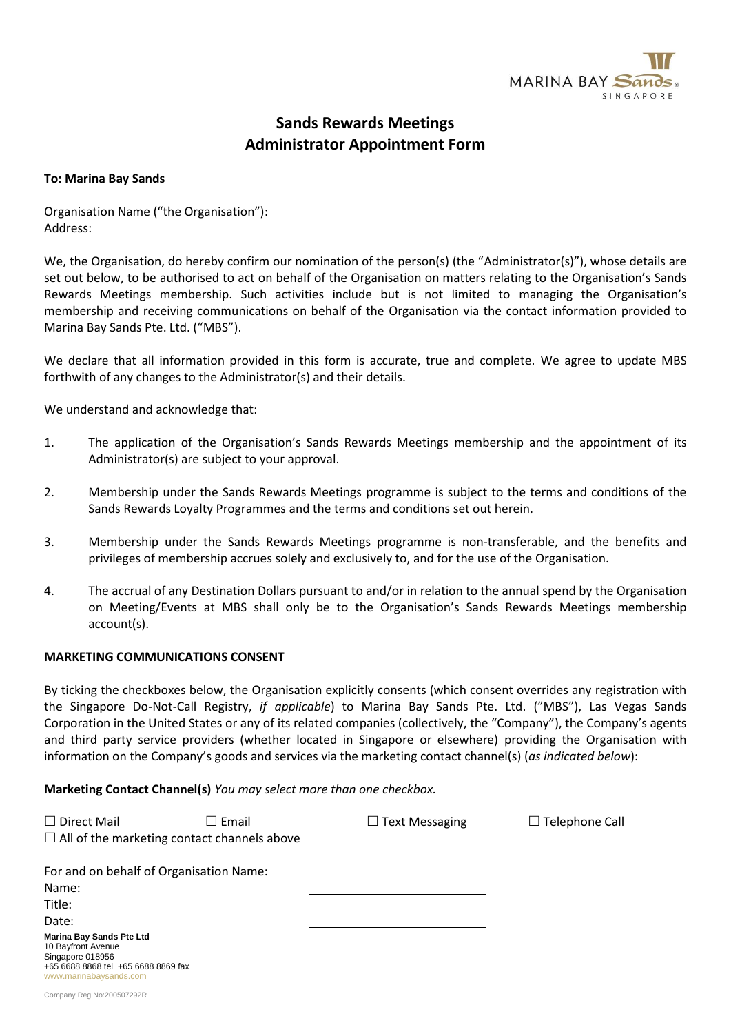

# **Sands Rewards Meetings Administrator Appointment Form**

#### **To: Marina Bay Sands**

Organisation Name ("the Organisation"): Address:

We, the Organisation, do hereby confirm our nomination of the person(s) (the "Administrator(s)"), whose details are set out below, to be authorised to act on behalf of the Organisation on matters relating to the Organisation's Sands Rewards Meetings membership. Such activities include but is not limited to managing the Organisation's membership and receiving communications on behalf of the Organisation via the contact information provided to Marina Bay Sands Pte. Ltd. ("MBS").

We declare that all information provided in this form is accurate, true and complete. We agree to update MBS forthwith of any changes to the Administrator(s) and their details.

We understand and acknowledge that:

- 1. The application of the Organisation's Sands Rewards Meetings membership and the appointment of its Administrator(s) are subject to your approval.
- 2. Membership under the Sands Rewards Meetings programme is subject to the terms and conditions of the Sands Rewards Loyalty Programmes and the terms and conditions set out herein.
- 3. Membership under the Sands Rewards Meetings programme is non-transferable, and the benefits and privileges of membership accrues solely and exclusively to, and for the use of the Organisation.
- 4. The accrual of any Destination Dollars pursuant to and/or in relation to the annual spend by the Organisation on Meeting/Events at MBS shall only be to the Organisation's Sands Rewards Meetings membership account(s).

#### **MARKETING COMMUNICATIONS CONSENT**

By ticking the checkboxes below, the Organisation explicitly consents (which consent overrides any registration with the Singapore Do-Not-Call Registry, *if applicable*) to Marina Bay Sands Pte. Ltd. ("MBS"), Las Vegas Sands Corporation in the United States or any of its related companies (collectively, the "Company"), the Company's agents and third party service providers (whether located in Singapore or elsewhere) providing the Organisation with information on the Company's goods and services via the marketing contact channel(s) (*as indicated below*):

**Marketing Contact Channel(s)** *You may select more than one checkbox.*

| $\Box$ Direct Mail                                                                                                                         | $\square$ Email<br>$\Box$ All of the marketing contact channels above | $\Box$ Text Messaging | $\Box$ Telephone Call |
|--------------------------------------------------------------------------------------------------------------------------------------------|-----------------------------------------------------------------------|-----------------------|-----------------------|
| For and on behalf of Organisation Name:                                                                                                    |                                                                       |                       |                       |
| Name:                                                                                                                                      |                                                                       |                       |                       |
| Title:                                                                                                                                     |                                                                       |                       |                       |
| Date:                                                                                                                                      |                                                                       |                       |                       |
| <b>Marina Bay Sands Pte Ltd</b><br>10 Bayfront Avenue<br>Singapore 018956<br>+65 6688 8868 tel +65 6688 8869 fax<br>www.marinabaysands.com |                                                                       |                       |                       |
| Company Reg No:200507292R                                                                                                                  |                                                                       |                       |                       |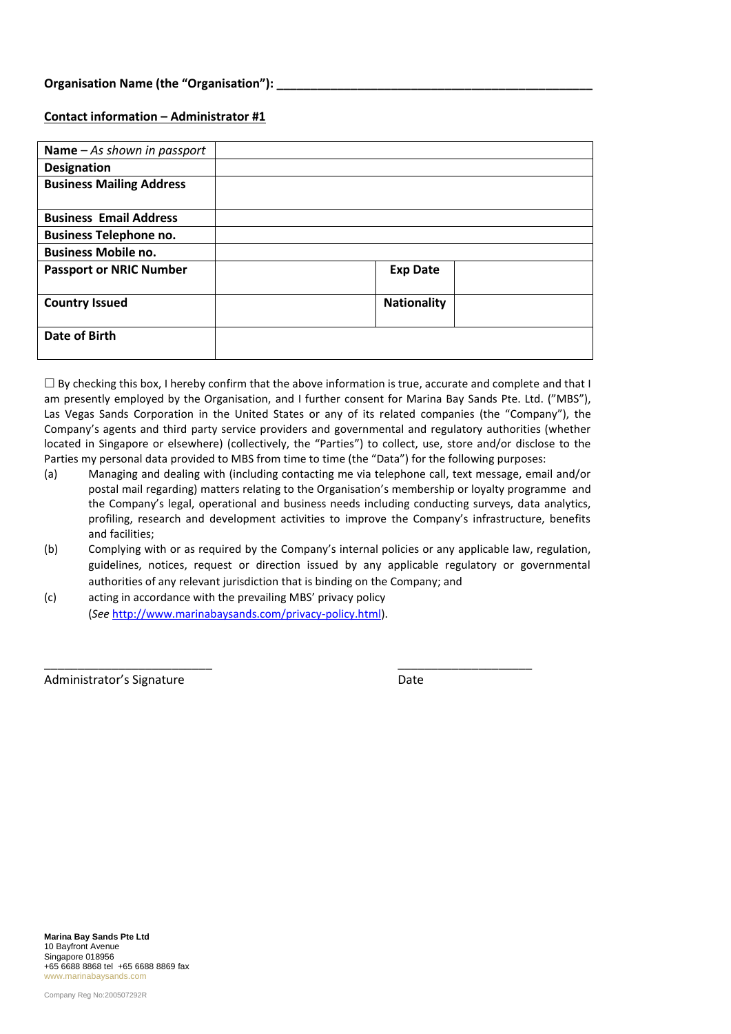#### **Contact information – Administrator #1**

| Name $-$ As shown in passport   |                    |  |
|---------------------------------|--------------------|--|
| <b>Designation</b>              |                    |  |
| <b>Business Mailing Address</b> |                    |  |
|                                 |                    |  |
| <b>Business Email Address</b>   |                    |  |
| <b>Business Telephone no.</b>   |                    |  |
| <b>Business Mobile no.</b>      |                    |  |
| <b>Passport or NRIC Number</b>  | <b>Exp Date</b>    |  |
|                                 |                    |  |
| <b>Country Issued</b>           | <b>Nationality</b> |  |
|                                 |                    |  |
| <b>Date of Birth</b>            |                    |  |
|                                 |                    |  |

 $\Box$  By checking this box, I hereby confirm that the above information is true, accurate and complete and that I am presently employed by the Organisation, and I further consent for Marina Bay Sands Pte. Ltd. ("MBS"), Las Vegas Sands Corporation in the United States or any of its related companies (the "Company"), the Company's agents and third party service providers and governmental and regulatory authorities (whether located in Singapore or elsewhere) (collectively, the "Parties") to collect, use, store and/or disclose to the Parties my personal data provided to MBS from time to time (the "Data") for the following purposes:

- (a) Managing and dealing with (including contacting me via telephone call, text message, email and/or postal mail regarding) matters relating to the Organisation's membership or loyalty programme and the Company's legal, operational and business needs including conducting surveys, data analytics, profiling, research and development activities to improve the Company's infrastructure, benefits and facilities;
- (b) Complying with or as required by the Company's internal policies or any applicable law, regulation, guidelines, notices, request or direction issued by any applicable regulatory or governmental authorities of any relevant jurisdiction that is binding on the Company; and

\_\_\_\_\_\_\_\_\_\_\_\_\_\_\_\_\_\_\_\_\_\_\_\_\_ \_\_\_\_\_\_\_\_\_\_\_\_\_\_\_\_\_\_\_\_

(c) acting in accordance with the prevailing MBS' privacy policy (*See* [http://www.marinabaysands.com/privacy-policy.html\)](http://www.marinabaysands.com/privacy-policy.html).

Administrator's Signature **Date** Date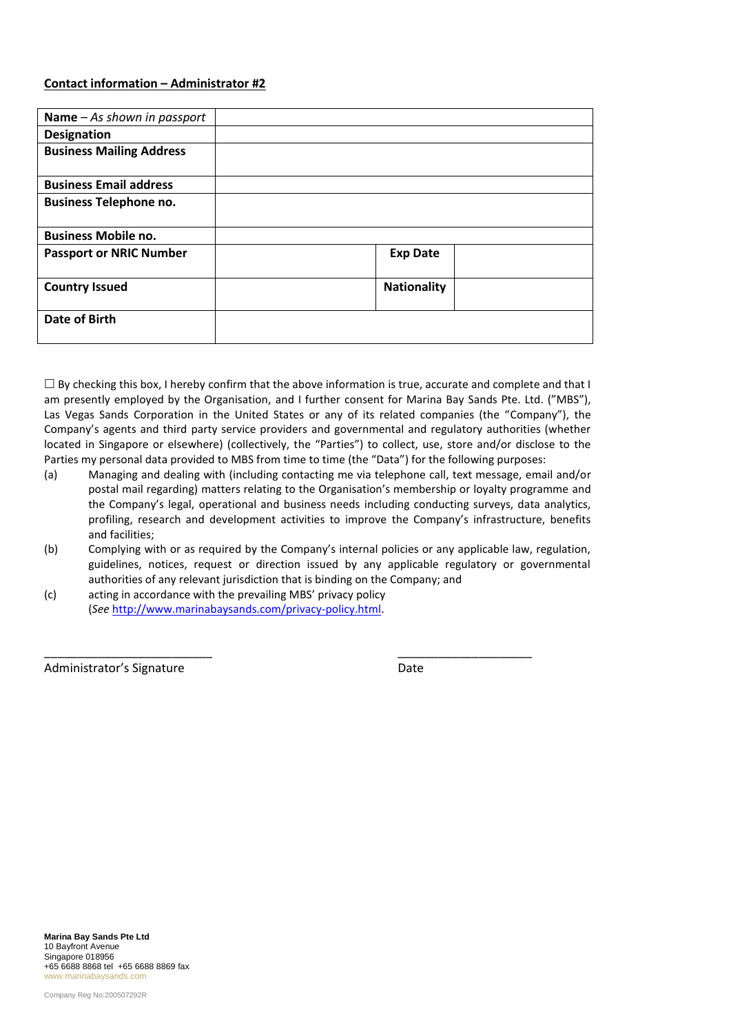#### **Contact information – Administrator #2**

| Name $-$ As shown in passport   |                    |  |
|---------------------------------|--------------------|--|
| <b>Designation</b>              |                    |  |
| <b>Business Mailing Address</b> |                    |  |
|                                 |                    |  |
| <b>Business Email address</b>   |                    |  |
| <b>Business Telephone no.</b>   |                    |  |
|                                 |                    |  |
| <b>Business Mobile no.</b>      |                    |  |
| <b>Passport or NRIC Number</b>  | <b>Exp Date</b>    |  |
|                                 |                    |  |
| <b>Country Issued</b>           | <b>Nationality</b> |  |
|                                 |                    |  |
| <b>Date of Birth</b>            |                    |  |
|                                 |                    |  |

 $\Box$  By checking this box, I hereby confirm that the above information is true, accurate and complete and that I am presently employed by the Organisation, and I further consent for Marina Bay Sands Pte. Ltd. ("MBS"), Las Vegas Sands Corporation in the United States or any of its related companies (the "Company"), the Company's agents and third party service providers and governmental and regulatory authorities (whether located in Singapore or elsewhere) (collectively, the "Parties") to collect, use, store and/or disclose to the Parties my personal data provided to MBS from time to time (the "Data") for the following purposes:

- (a) Managing and dealing with (including contacting me via telephone call, text message, email and/or postal mail regarding) matters relating to the Organisation's membership or loyalty programme and the Company's legal, operational and business needs including conducting surveys, data analytics, profiling, research and development activities to improve the Company's infrastructure, benefits and facilities;
- (b) Complying with or as required by the Company's internal policies or any applicable law, regulation, guidelines, notices, request or direction issued by any applicable regulatory or governmental authorities of any relevant jurisdiction that is binding on the Company; and

\_\_\_\_\_\_\_\_\_\_\_\_\_\_\_\_\_\_\_\_\_\_\_\_\_ \_\_\_\_\_\_\_\_\_\_\_\_\_\_\_\_\_\_\_\_

(c) acting in accordance with the prevailing MBS' privacy policy (*See* [http://www.marinabaysands.com/privacy-policy.html.](http://www.marinabaysands.com/privacy-policy.html)

Administrator's Signature Date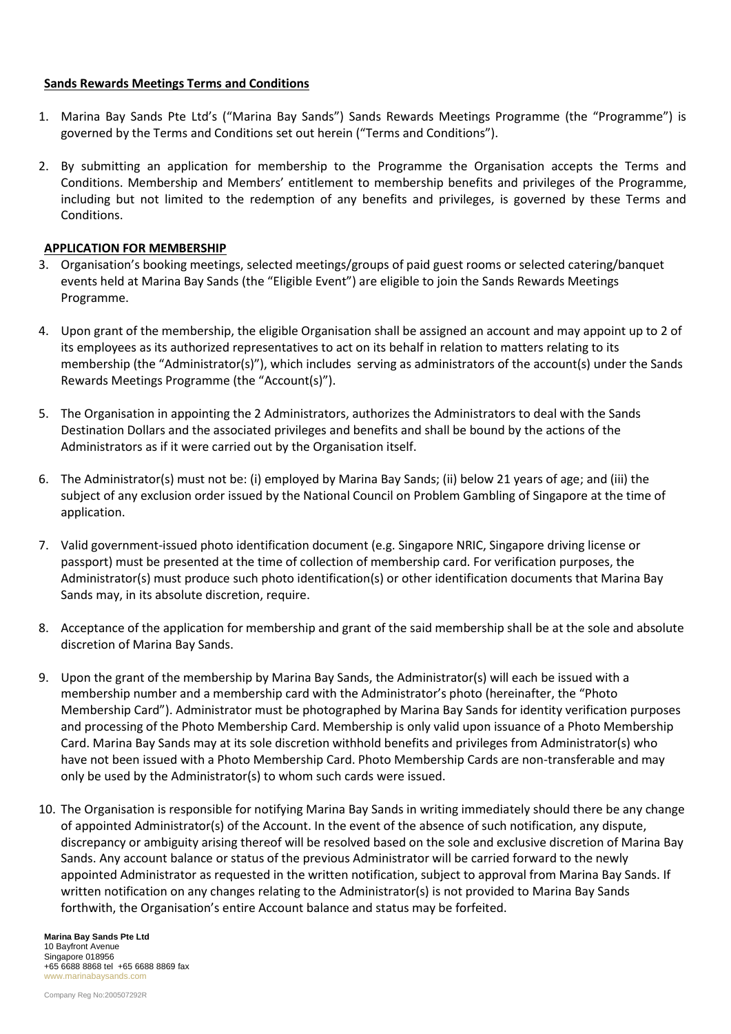#### **Sands Rewards Meetings Terms and Conditions**

- 1. Marina Bay Sands Pte Ltd's ("Marina Bay Sands") Sands Rewards Meetings Programme (the "Programme") is governed by the Terms and Conditions set out herein ("Terms and Conditions").
- 2. By submitting an application for membership to the Programme the Organisation accepts the Terms and Conditions. Membership and Members' entitlement to membership benefits and privileges of the Programme, including but not limited to the redemption of any benefits and privileges, is governed by these Terms and Conditions.

### **APPLICATION FOR MEMBERSHIP**

- 3. Organisation's booking meetings, selected meetings/groups of paid guest rooms or selected catering/banquet events held at Marina Bay Sands (the "Eligible Event") are eligible to join the Sands Rewards Meetings Programme.
- 4. Upon grant of the membership, the eligible Organisation shall be assigned an account and may appoint up to 2 of its employees as its authorized representatives to act on its behalf in relation to matters relating to its membership (the "Administrator(s)"), which includes serving as administrators of the account(s) under the Sands Rewards Meetings Programme (the "Account(s)").
- 5. The Organisation in appointing the 2 Administrators, authorizes the Administrators to deal with the Sands Destination Dollars and the associated privileges and benefits and shall be bound by the actions of the Administrators as if it were carried out by the Organisation itself.
- 6. The Administrator(s) must not be: (i) employed by Marina Bay Sands; (ii) below 21 years of age; and (iii) the subject of any exclusion order issued by the National Council on Problem Gambling of Singapore at the time of application.
- 7. Valid government-issued photo identification document (e.g. Singapore NRIC, Singapore driving license or passport) must be presented at the time of collection of membership card. For verification purposes, the Administrator(s) must produce such photo identification(s) or other identification documents that Marina Bay Sands may, in its absolute discretion, require.
- 8. Acceptance of the application for membership and grant of the said membership shall be at the sole and absolute discretion of Marina Bay Sands.
- 9. Upon the grant of the membership by Marina Bay Sands, the Administrator(s) will each be issued with a membership number and a membership card with the Administrator's photo (hereinafter, the "Photo Membership Card"). Administrator must be photographed by Marina Bay Sands for identity verification purposes and processing of the Photo Membership Card. Membership is only valid upon issuance of a Photo Membership Card. Marina Bay Sands may at its sole discretion withhold benefits and privileges from Administrator(s) who have not been issued with a Photo Membership Card. Photo Membership Cards are non-transferable and may only be used by the Administrator(s) to whom such cards were issued.
- 10. The Organisation is responsible for notifying Marina Bay Sands in writing immediately should there be any change of appointed Administrator(s) of the Account. In the event of the absence of such notification, any dispute, discrepancy or ambiguity arising thereof will be resolved based on the sole and exclusive discretion of Marina Bay Sands. Any account balance or status of the previous Administrator will be carried forward to the newly appointed Administrator as requested in the written notification, subject to approval from Marina Bay Sands. If written notification on any changes relating to the Administrator(s) is not provided to Marina Bay Sands forthwith, the Organisation's entire Account balance and status may be forfeited.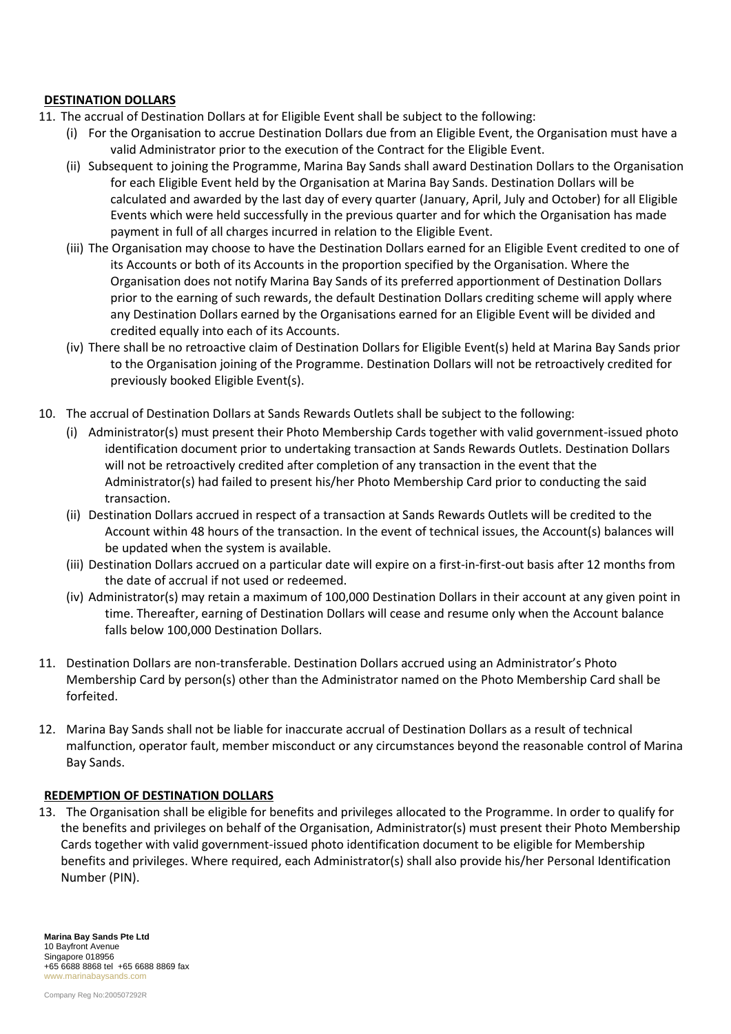#### **DESTINATION DOLLARS**

- 11. The accrual of Destination Dollars at for Eligible Event shall be subject to the following:
	- (i) For the Organisation to accrue Destination Dollars due from an Eligible Event, the Organisation must have a valid Administrator prior to the execution of the Contract for the Eligible Event.
	- (ii) Subsequent to joining the Programme, Marina Bay Sands shall award Destination Dollars to the Organisation for each Eligible Event held by the Organisation at Marina Bay Sands. Destination Dollars will be calculated and awarded by the last day of every quarter (January, April, July and October) for all Eligible Events which were held successfully in the previous quarter and for which the Organisation has made payment in full of all charges incurred in relation to the Eligible Event.
	- (iii) The Organisation may choose to have the Destination Dollars earned for an Eligible Event credited to one of its Accounts or both of its Accounts in the proportion specified by the Organisation. Where the Organisation does not notify Marina Bay Sands of its preferred apportionment of Destination Dollars prior to the earning of such rewards, the default Destination Dollars crediting scheme will apply where any Destination Dollars earned by the Organisations earned for an Eligible Event will be divided and credited equally into each of its Accounts.
	- (iv) There shall be no retroactive claim of Destination Dollars for Eligible Event(s) held at Marina Bay Sands prior to the Organisation joining of the Programme. Destination Dollars will not be retroactively credited for previously booked Eligible Event(s).
- 10. The accrual of Destination Dollars at Sands Rewards Outlets shall be subject to the following:
	- (i) Administrator(s) must present their Photo Membership Cards together with valid government-issued photo identification document prior to undertaking transaction at Sands Rewards Outlets. Destination Dollars will not be retroactively credited after completion of any transaction in the event that the Administrator(s) had failed to present his/her Photo Membership Card prior to conducting the said transaction.
	- (ii) Destination Dollars accrued in respect of a transaction at Sands Rewards Outlets will be credited to the Account within 48 hours of the transaction. In the event of technical issues, the Account(s) balances will be updated when the system is available.
	- (iii) Destination Dollars accrued on a particular date will expire on a first-in-first-out basis after 12 months from the date of accrual if not used or redeemed.
	- (iv) Administrator(s) may retain a maximum of 100,000 Destination Dollars in their account at any given point in time. Thereafter, earning of Destination Dollars will cease and resume only when the Account balance falls below 100,000 Destination Dollars.
- 11. Destination Dollars are non-transferable. Destination Dollars accrued using an Administrator's Photo Membership Card by person(s) other than the Administrator named on the Photo Membership Card shall be forfeited.
- 12. Marina Bay Sands shall not be liable for inaccurate accrual of Destination Dollars as a result of technical malfunction, operator fault, member misconduct or any circumstances beyond the reasonable control of Marina Bay Sands.

#### **REDEMPTION OF DESTINATION DOLLARS**

13. The Organisation shall be eligible for benefits and privileges allocated to the Programme. In order to qualify for the benefits and privileges on behalf of the Organisation, Administrator(s) must present their Photo Membership Cards together with valid government-issued photo identification document to be eligible for Membership benefits and privileges. Where required, each Administrator(s) shall also provide his/her Personal Identification Number (PIN).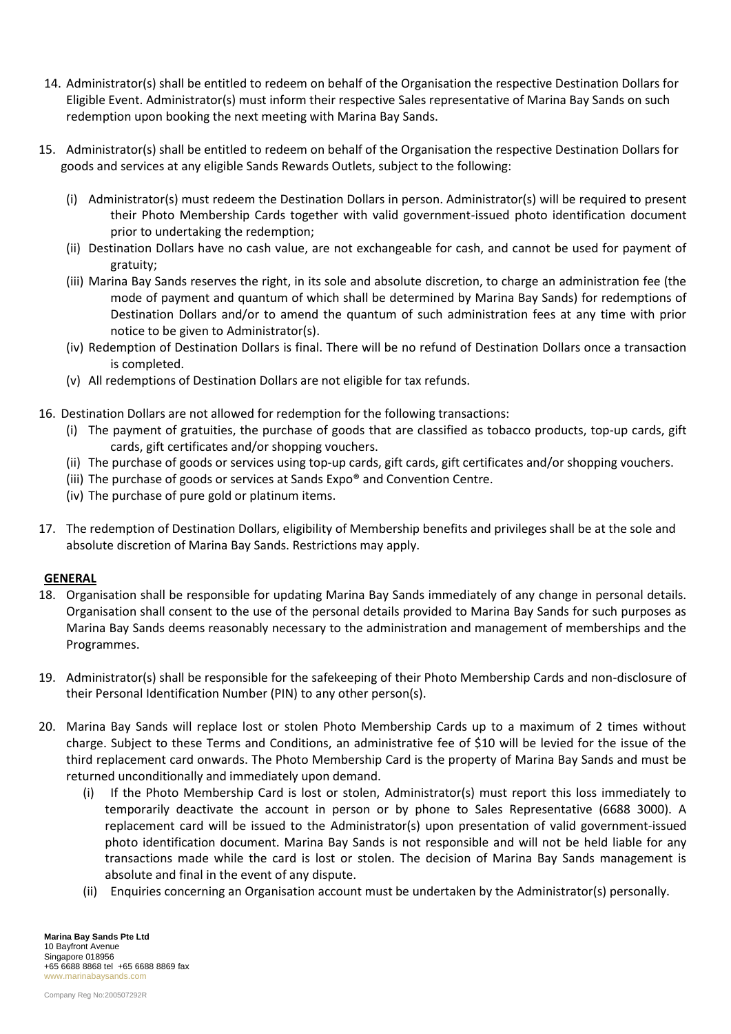- 14. Administrator(s) shall be entitled to redeem on behalf of the Organisation the respective Destination Dollars for Eligible Event. Administrator(s) must inform their respective Sales representative of Marina Bay Sands on such redemption upon booking the next meeting with Marina Bay Sands.
- 15. Administrator(s) shall be entitled to redeem on behalf of the Organisation the respective Destination Dollars for goods and services at any eligible Sands Rewards Outlets, subject to the following:
	- (i) Administrator(s) must redeem the Destination Dollars in person. Administrator(s) will be required to present their Photo Membership Cards together with valid government-issued photo identification document prior to undertaking the redemption;
	- (ii) Destination Dollars have no cash value, are not exchangeable for cash, and cannot be used for payment of gratuity;
	- (iii) Marina Bay Sands reserves the right, in its sole and absolute discretion, to charge an administration fee (the mode of payment and quantum of which shall be determined by Marina Bay Sands) for redemptions of Destination Dollars and/or to amend the quantum of such administration fees at any time with prior notice to be given to Administrator(s).
	- (iv) Redemption of Destination Dollars is final. There will be no refund of Destination Dollars once a transaction is completed.
	- (v) All redemptions of Destination Dollars are not eligible for tax refunds.
- 16. Destination Dollars are not allowed for redemption for the following transactions:
	- (i) The payment of gratuities, the purchase of goods that are classified as tobacco products, top-up cards, gift cards, gift certificates and/or shopping vouchers.
	- (ii) The purchase of goods or services using top-up cards, gift cards, gift certificates and/or shopping vouchers.
	- (iii) The purchase of goods or services at Sands Expo® and Convention Centre.
	- (iv) The purchase of pure gold or platinum items.
- 17. The redemption of Destination Dollars, eligibility of Membership benefits and privileges shall be at the sole and absolute discretion of Marina Bay Sands. Restrictions may apply.

## **GENERAL**

- 18. Organisation shall be responsible for updating Marina Bay Sands immediately of any change in personal details. Organisation shall consent to the use of the personal details provided to Marina Bay Sands for such purposes as Marina Bay Sands deems reasonably necessary to the administration and management of memberships and the Programmes.
- 19. Administrator(s) shall be responsible for the safekeeping of their Photo Membership Cards and non-disclosure of their Personal Identification Number (PIN) to any other person(s).
- 20. Marina Bay Sands will replace lost or stolen Photo Membership Cards up to a maximum of 2 times without charge. Subject to these Terms and Conditions, an administrative fee of \$10 will be levied for the issue of the third replacement card onwards. The Photo Membership Card is the property of Marina Bay Sands and must be returned unconditionally and immediately upon demand.
	- (i) If the Photo Membership Card is lost or stolen, Administrator(s) must report this loss immediately to temporarily deactivate the account in person or by phone to Sales Representative (6688 3000). A replacement card will be issued to the Administrator(s) upon presentation of valid government-issued photo identification document. Marina Bay Sands is not responsible and will not be held liable for any transactions made while the card is lost or stolen. The decision of Marina Bay Sands management is absolute and final in the event of any dispute.
	- (ii) Enquiries concerning an Organisation account must be undertaken by the Administrator(s) personally.